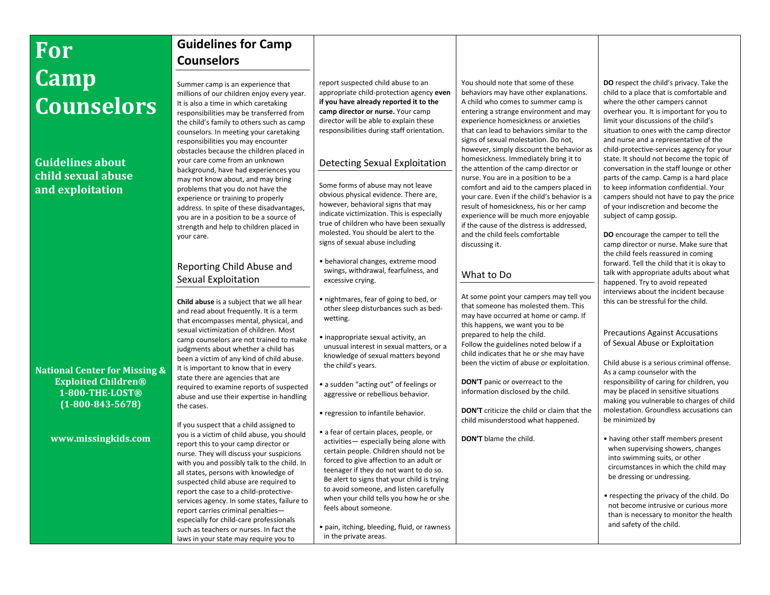# **For Camp Counselors**

# **Guidelines about child sexual abuse and exploitation**

**National Center for Missing & Exploited Children® 1-800-THE-LOST® (1-800-843-5678)**

**www.missingkids.com**

# **Guidelines for Camp Counselors**

Summer camp is an experience that millions of our children enjoy every year. It is also a time in which caretaking responsibilities may be transferred from the child's family to others such as camp counselors. In meeting your caretaking responsibilities you may encounter obstacles because the children placed in your care come from an unknown background, have had experiences you may not know about, and may bring problems that you do not have the experience or training to properly address. In spite of these disadvantages, you are in a position to be a source of strength and help to children placed in your care.

# Reporting Child Abuse and Sexual Exploitation

**Child abuse** is a subject that we all hear and read about frequently. It is a term that encompasses mental, physical, and sexual victimization of children. Most camp counselors are not trained to make judgments about whether a child has been a victim of any kind of child abuse. It is important to know that in every state there are agencies that are required to examine reports of suspected abuse and use their expertise in handling the cases.

If you suspect that a child assigned to you is a victim of child abuse, you should report this to your camp director or nurse. They will discuss your suspicions with you and possibly talk to the child. In all states, persons with knowledge of suspected child abuse are required to report the case to a child-protectiveservices agency. In some states, failure to report carries criminal penalties especially for child-care professionals such as teachers or nurses. In fact the laws in your state may require you to

report suspected child abuse to an appropriate child-protection agency **even if you have already reported it to the camp director or nurse.** Your camp director will be able to explain these responsibilities during staff orientation.

# Detecting Sexual Exploitation

Some forms of abuse may not leave obvious physical evidence. There are, however, behavioral signs that may indicate victimization. This is especially true of children who have been sexually molested. You should be alert to the signs of sexual abuse including

- behavioral changes, extreme mood swings, withdrawal, fearfulness, and excessive crying.
- nightmares, fear of going to bed, or other sleep disturbances such as bedwetting.
- inappropriate sexual activity, an unusual interest in sexual matters, or a knowledge of sexual matters beyond the child's years.
- a sudden "acting out" of feelings or aggressive or rebellious behavior.
- regression to infantile behavior.

• a fear of certain places, people, or activities— especially being alone with certain people. Children should not be forced to give affection to an adult or teenager if they do not want to do so. Be alert to signs that your child is trying to avoid someone, and listen carefully when your child tells you how he or she feels about someone.

• pain, itching, bleeding, fluid, or rawness in the private areas.

You should note that some of these behaviors may have other explanations. A child who comes to summer camp is entering a strange environment and may experience homesickness or anxieties that can lead to behaviors similar to the signs of sexual molestation. Do not, however, simply discount the behavior as homesickness. Immediately bring it to the attention of the camp director or nurse. You are in a position to be a comfort and aid to the campers placed in your care. Even if the child's behavior is a result of homesickness, his or her camp experience will be much more enjoyable if the cause of the distress is addressed, and the child feels comfortable discussing it.

## What to Do

At some point your campers may tell you that someone has molested them. This may have occurred at home or camp. If this happens, we want you to be prepared to help the child. Follow the guidelines noted below if a child indicates that he or she may have been the victim of abuse or exploitation.

**DON'T** panic or overreact to the information disclosed by the child.

**DON'T** criticize the child or claim that the child misunderstood what happened.

**DON'T** blame the child.

**DO** respect the child's privacy. Take the child to a place that is comfortable and where the other campers cannot overhear you. It is important for you to limit your discussions of the child's situation to ones with the camp director and nurse and a representative of the child-protective-services agency for your state. It should not become the topic of conversation in the staff lounge or other parts of the camp. Camp is a hard place to keep information confidential. Your campers should not have to pay the price of your indiscretion and become the subject of camp gossip.

**DO** encourage the camper to tell the camp director or nurse. Make sure that the child feels reassured in coming forward. Tell the child that it is okay to talk with appropriate adults about what happened. Try to avoid repeated interviews about the incident because this can be stressful for the child.

#### Precautions Against Accusations of Sexual Abuse or Exploitation

Child abuse is a serious criminal offense. As a camp counselor with the responsibility of caring for children, you may be placed in sensitive situations making you vulnerable to charges of child molestation. Groundless accusations can be minimized by

- having other staff members present when supervising showers, changes into swimming suits, or other circumstances in which the child may be dressing or undressing.
- respecting the privacy of the child. Do not become intrusive or curious more than is necessary to monitor the health and safety of the child.